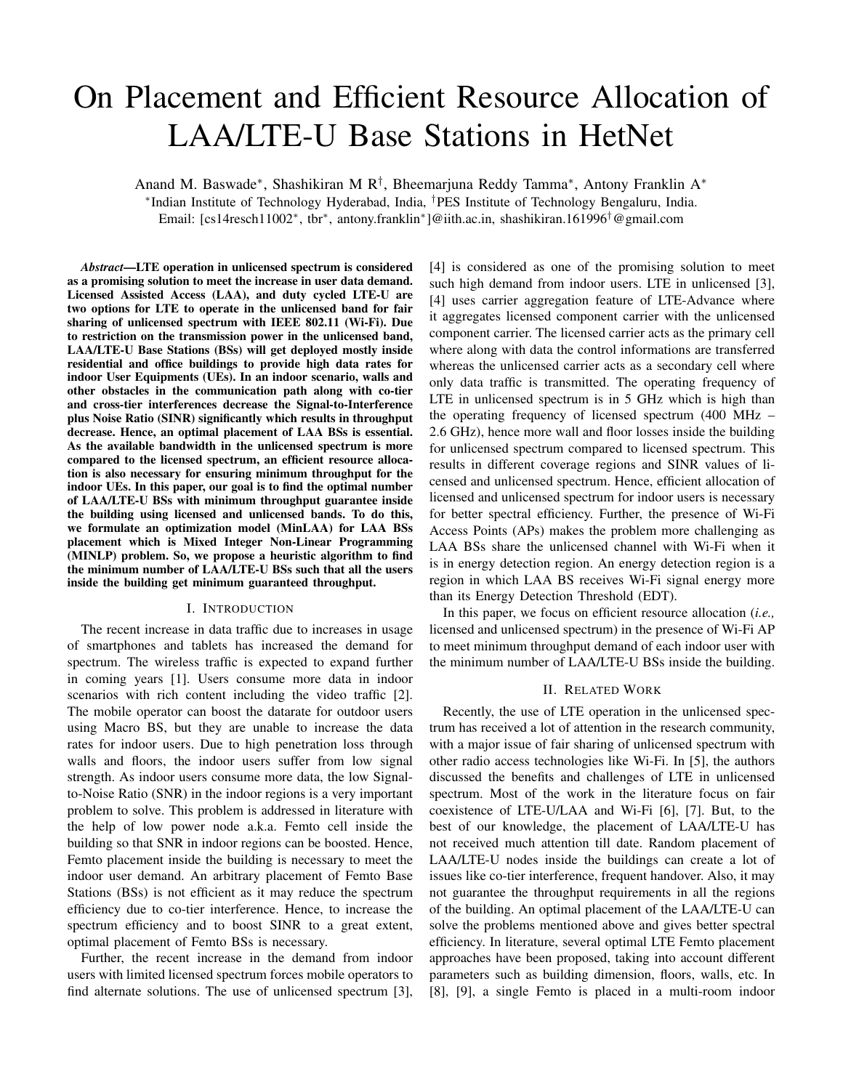# On Placement and Efficient Resource Allocation of LAA/LTE-U Base Stations in HetNet

Anand M. Baswade<sup>∗</sup> , Shashikiran M R† , Bheemarjuna Reddy Tamma<sup>∗</sup> , Antony Franklin A<sup>∗</sup> ∗ Indian Institute of Technology Hyderabad, India, †PES Institute of Technology Bengaluru, India.

Email: [cs14resch11002<sup>∗</sup> , tbr<sup>∗</sup> , antony.franklin<sup>∗</sup> ]@iith.ac.in, shashikiran.161996†@gmail.com

*Abstract*—LTE operation in unlicensed spectrum is considered as a promising solution to meet the increase in user data demand. Licensed Assisted Access (LAA), and duty cycled LTE-U are two options for LTE to operate in the unlicensed band for fair sharing of unlicensed spectrum with IEEE 802.11 (Wi-Fi). Due to restriction on the transmission power in the unlicensed band, LAA/LTE-U Base Stations (BSs) will get deployed mostly inside residential and office buildings to provide high data rates for indoor User Equipments (UEs). In an indoor scenario, walls and other obstacles in the communication path along with co-tier and cross-tier interferences decrease the Signal-to-Interference plus Noise Ratio (SINR) significantly which results in throughput decrease. Hence, an optimal placement of LAA BSs is essential. As the available bandwidth in the unlicensed spectrum is more compared to the licensed spectrum, an efficient resource allocation is also necessary for ensuring minimum throughput for the indoor UEs. In this paper, our goal is to find the optimal number of LAA/LTE-U BSs with minimum throughput guarantee inside the building using licensed and unlicensed bands. To do this, we formulate an optimization model (MinLAA) for LAA BSs placement which is Mixed Integer Non-Linear Programming (MINLP) problem. So, we propose a heuristic algorithm to find the minimum number of LAA/LTE-U BSs such that all the users inside the building get minimum guaranteed throughput.

### I. INTRODUCTION

The recent increase in data traffic due to increases in usage of smartphones and tablets has increased the demand for spectrum. The wireless traffic is expected to expand further in coming years [1]. Users consume more data in indoor scenarios with rich content including the video traffic [2]. The mobile operator can boost the datarate for outdoor users using Macro BS, but they are unable to increase the data rates for indoor users. Due to high penetration loss through walls and floors, the indoor users suffer from low signal strength. As indoor users consume more data, the low Signalto-Noise Ratio (SNR) in the indoor regions is a very important problem to solve. This problem is addressed in literature with the help of low power node a.k.a. Femto cell inside the building so that SNR in indoor regions can be boosted. Hence, Femto placement inside the building is necessary to meet the indoor user demand. An arbitrary placement of Femto Base Stations (BSs) is not efficient as it may reduce the spectrum efficiency due to co-tier interference. Hence, to increase the spectrum efficiency and to boost SINR to a great extent, optimal placement of Femto BSs is necessary.

Further, the recent increase in the demand from indoor users with limited licensed spectrum forces mobile operators to find alternate solutions. The use of unlicensed spectrum [3], [4] is considered as one of the promising solution to meet such high demand from indoor users. LTE in unlicensed [3], [4] uses carrier aggregation feature of LTE-Advance where it aggregates licensed component carrier with the unlicensed component carrier. The licensed carrier acts as the primary cell where along with data the control informations are transferred whereas the unlicensed carrier acts as a secondary cell where only data traffic is transmitted. The operating frequency of LTE in unlicensed spectrum is in 5 GHz which is high than the operating frequency of licensed spectrum (400 MHz – 2.6 GHz), hence more wall and floor losses inside the building for unlicensed spectrum compared to licensed spectrum. This results in different coverage regions and SINR values of licensed and unlicensed spectrum. Hence, efficient allocation of licensed and unlicensed spectrum for indoor users is necessary for better spectral efficiency. Further, the presence of Wi-Fi Access Points (APs) makes the problem more challenging as LAA BSs share the unlicensed channel with Wi-Fi when it is in energy detection region. An energy detection region is a region in which LAA BS receives Wi-Fi signal energy more than its Energy Detection Threshold (EDT).

In this paper, we focus on efficient resource allocation (*i.e.,* licensed and unlicensed spectrum) in the presence of Wi-Fi AP to meet minimum throughput demand of each indoor user with the minimum number of LAA/LTE-U BSs inside the building.

## II. RELATED WORK

Recently, the use of LTE operation in the unlicensed spectrum has received a lot of attention in the research community, with a major issue of fair sharing of unlicensed spectrum with other radio access technologies like Wi-Fi. In [5], the authors discussed the benefits and challenges of LTE in unlicensed spectrum. Most of the work in the literature focus on fair coexistence of LTE-U/LAA and Wi-Fi [6], [7]. But, to the best of our knowledge, the placement of LAA/LTE-U has not received much attention till date. Random placement of LAA/LTE-U nodes inside the buildings can create a lot of issues like co-tier interference, frequent handover. Also, it may not guarantee the throughput requirements in all the regions of the building. An optimal placement of the LAA/LTE-U can solve the problems mentioned above and gives better spectral efficiency. In literature, several optimal LTE Femto placement approaches have been proposed, taking into account different parameters such as building dimension, floors, walls, etc. In [8], [9], a single Femto is placed in a multi-room indoor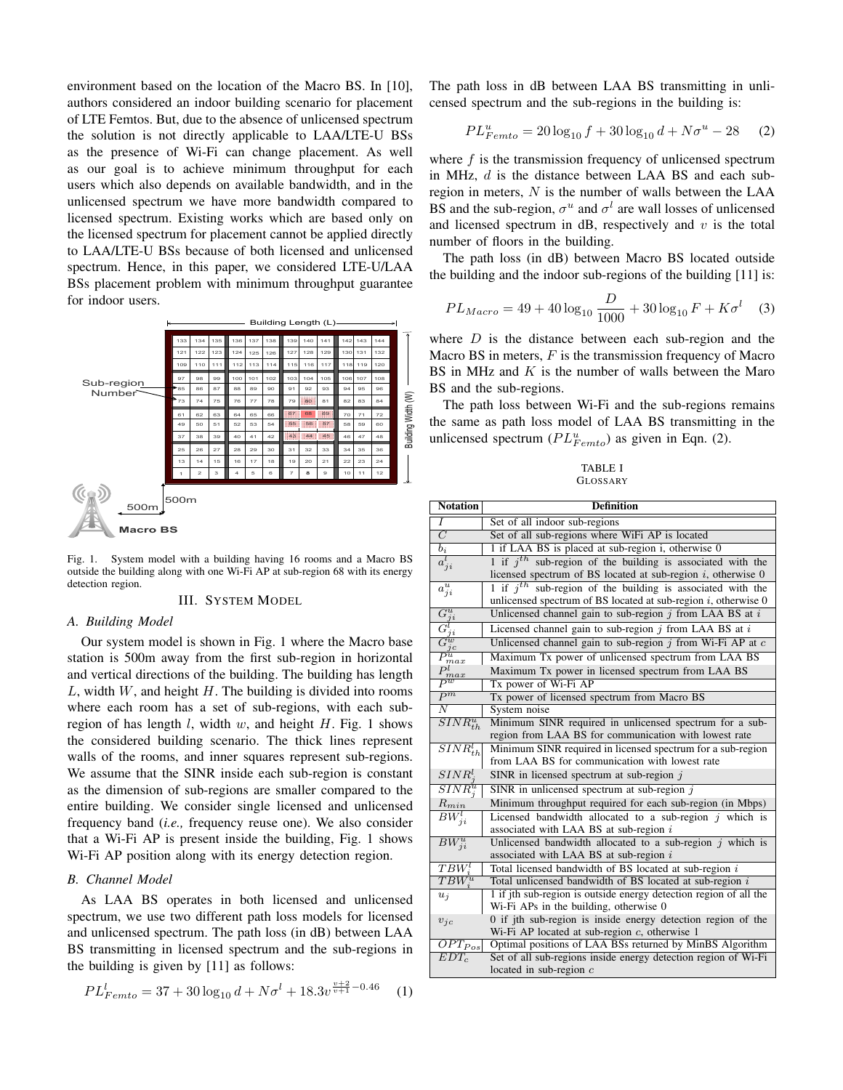environment based on the location of the Macro BS. In [10], authors considered an indoor building scenario for placement of LTE Femtos. But, due to the absence of unlicensed spectrum the solution is not directly applicable to LAA/LTE-U BSs as the presence of Wi-Fi can change placement. As well as our goal is to achieve minimum throughput for each users which also depends on available bandwidth, and in the unlicensed spectrum we have more bandwidth compared to licensed spectrum. Existing works which are based only on the licensed spectrum for placement cannot be applied directly to LAA/LTE-U BSs because of both licensed and unlicensed spectrum. Hence, in this paper, we considered LTE-U/LAA BSs placement problem with minimum throughput guarantee for indoor users.



Fig. 1. System model with a building having 16 rooms and a Macro BS outside the building along with one Wi-Fi AP at sub-region 68 with its energy detection region.

#### III. SYSTEM MODEL

## *A. Building Model*

Our system model is shown in Fig. 1 where the Macro base station is 500m away from the first sub-region in horizontal and vertical directions of the building. The building has length  $L$ , width  $W$ , and height  $H$ . The building is divided into rooms where each room has a set of sub-regions, with each subregion of has length  $l$ , width  $w$ , and height  $H$ . Fig. 1 shows the considered building scenario. The thick lines represent walls of the rooms, and inner squares represent sub-regions. We assume that the SINR inside each sub-region is constant as the dimension of sub-regions are smaller compared to the entire building. We consider single licensed and unlicensed frequency band (*i.e.,* frequency reuse one). We also consider that a Wi-Fi AP is present inside the building, Fig. 1 shows Wi-Fi AP position along with its energy detection region.

# *B. Channel Model*

As LAA BS operates in both licensed and unlicensed spectrum, we use two different path loss models for licensed and unlicensed spectrum. The path loss (in dB) between LAA BS transmitting in licensed spectrum and the sub-regions in the building is given by [11] as follows:

$$
PL_{Femto}^l = 37 + 30\log_{10}d + N\sigma^l + 18.3v^{\frac{v+2}{v+1} - 0.46} \tag{1}
$$

The path loss in dB between LAA BS transmitting in unlicensed spectrum and the sub-regions in the building is:

$$
PL_{Femto}^{u} = 20\log_{10} f + 30\log_{10} d + N\sigma^{u} - 28 \tag{2}
$$

where  $f$  is the transmission frequency of unlicensed spectrum in MHz,  $d$  is the distance between LAA BS and each subregion in meters,  $N$  is the number of walls between the LAA BS and the sub-region,  $\sigma^u$  and  $\sigma^l$  are wall losses of unlicensed and licensed spectrum in dB, respectively and  $v$  is the total number of floors in the building.

The path loss (in dB) between Macro BS located outside the building and the indoor sub-regions of the building [11] is:

$$
PL_{Macco} = 49 + 40 \log_{10} \frac{D}{1000} + 30 \log_{10} F + K\sigma^l \quad (3)
$$

where  $D$  is the distance between each sub-region and the Macro BS in meters,  $F$  is the transmission frequency of Macro BS in MHz and  $K$  is the number of walls between the Maro BS and the sub-regions.

The path loss between Wi-Fi and the sub-regions remains the same as path loss model of LAA BS transmitting in the unlicensed spectrum  $(PL_{Femto}^u)$  as given in Eqn. (2).

TABLE I GLOSSARY

| <b>Notation</b>                                                                        | <b>Definition</b>                                                                                                                    |  |  |  |
|----------------------------------------------------------------------------------------|--------------------------------------------------------------------------------------------------------------------------------------|--|--|--|
| Ī                                                                                      | Set of all indoor sub-regions                                                                                                        |  |  |  |
| $\overline{C}$                                                                         | Set of all sub-regions where WiFi AP is located                                                                                      |  |  |  |
| $\overline{b_i}$                                                                       | 1 if LAA BS is placed at sub-region i, otherwise 0                                                                                   |  |  |  |
| $a_{ji}^l$                                                                             | 1 if $j^{th}$ sub-region of the building is associated with the<br>licensed spectrum of BS located at sub-region $i$ , otherwise 0   |  |  |  |
| $a_{ji}^u$                                                                             | 1 if $i^{th}$ sub-region of the building is associated with the<br>unlicensed spectrum of BS located at sub-region $i$ , otherwise 0 |  |  |  |
|                                                                                        | Unlicensed channel gain to sub-region $j$ from LAA BS at $i$                                                                         |  |  |  |
| $\frac{G_{ji}^u}{G_{ji}^l} \ \frac{G_{ji}^v}{F_{max}^u} \ \frac{P_{max}^u}{P_{max}^u}$ | Licensed channel gain to sub-region $j$ from LAA BS at $i$                                                                           |  |  |  |
|                                                                                        | Unlicensed channel gain to sub-region $j$ from Wi-Fi AP at $c$                                                                       |  |  |  |
|                                                                                        | Maximum Tx power of unlicensed spectrum from LAA BS                                                                                  |  |  |  |
|                                                                                        | Maximum Tx power in licensed spectrum from LAA BS                                                                                    |  |  |  |
|                                                                                        | Tx power of Wi-Fi AP                                                                                                                 |  |  |  |
| $\overline{P^m}$                                                                       | Tx power of licensed spectrum from Macro BS                                                                                          |  |  |  |
| $\overline{N}$                                                                         | System noise                                                                                                                         |  |  |  |
| $\overline{SINR^u_{th}}$                                                               | Minimum SINR required in unlicensed spectrum for a sub-<br>region from LAA BS for communication with lowest rate                     |  |  |  |
| $\overline{SINR_{th}^l}$                                                               | Minimum SINR required in licensed spectrum for a sub-region<br>from LAA BS for communication with lowest rate                        |  |  |  |
| $SINR_{s}^{l}$                                                                         | SINR in licensed spectrum at sub-region $j$                                                                                          |  |  |  |
| $\overline{SINR_i^u}$                                                                  | SINR in unlicensed spectrum at sub-region $j$                                                                                        |  |  |  |
| $R_{min}$                                                                              | Minimum throughput required for each sub-region (in Mbps)                                                                            |  |  |  |
| $\overline{BW}^l_{ji}$                                                                 | Licensed bandwidth allocated to a sub-region $i$ which is<br>associated with LAA BS at sub-region $i$                                |  |  |  |
| $BW_{ji}^u$                                                                            | Unlicensed bandwidth allocated to a sub-region $j$ which is<br>associated with LAA BS at sub-region $i$                              |  |  |  |
| $TBW^l$                                                                                | Total licensed bandwidth of BS located at sub-region i                                                                               |  |  |  |
| $TBW^u_i$                                                                              | Total unlicensed bandwidth of BS located at sub-region i                                                                             |  |  |  |
| $u_i$                                                                                  | 1 if jth sub-region is outside energy detection region of all the<br>Wi-Fi APs in the building, otherwise 0                          |  |  |  |
| $v_{jc}$                                                                               | 0 if jth sub-region is inside energy detection region of the<br>Wi-Fi AP located at sub-region $c$ , otherwise 1                     |  |  |  |
| $\overline{OPT_{Pos}}$                                                                 | Optimal positions of LAA BSs returned by MinBS Algorithm                                                                             |  |  |  |
| $EDT_c$                                                                                | Set of all sub-regions inside energy detection region of Wi-Fi<br>located in sub-region $c$                                          |  |  |  |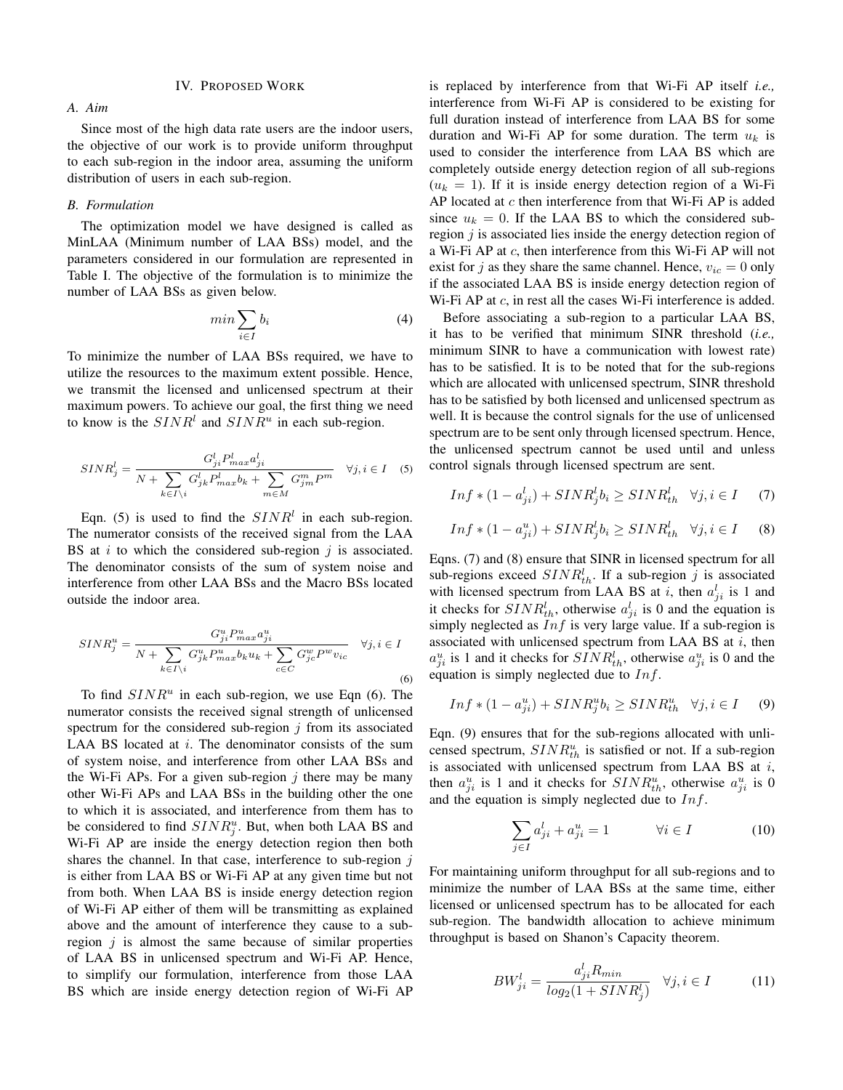## IV. PROPOSED WORK

*A. Aim*

Since most of the high data rate users are the indoor users, the objective of our work is to provide uniform throughput to each sub-region in the indoor area, assuming the uniform distribution of users in each sub-region.

## *B. Formulation*

The optimization model we have designed is called as MinLAA (Minimum number of LAA BSs) model, and the parameters considered in our formulation are represented in Table I. The objective of the formulation is to minimize the number of LAA BSs as given below.

$$
min \sum_{i \in I} b_i
$$
\n<sup>(4)</sup>

To minimize the number of LAA BSs required, we have to utilize the resources to the maximum extent possible. Hence, we transmit the licensed and unlicensed spectrum at their maximum powers. To achieve our goal, the first thing we need to know is the  $SINR<sup>l</sup>$  and  $SINR<sup>u</sup>$  in each sub-region.

$$
SINR_j^l = \frac{G_{ji}^l P_{max}^l a_{ji}^l}{N + \sum_{k \in I \setminus i} G_{jk}^l P_{max}^l b_k + \sum_{m \in M} G_{jm}^m P^m} \quad \forall j, i \in I \quad (5)
$$

Eqn. (5) is used to find the  $SINR<sup>l</sup>$  in each sub-region. The numerator consists of the received signal from the LAA BS at  $i$  to which the considered sub-region  $j$  is associated. The denominator consists of the sum of system noise and interference from other LAA BSs and the Macro BSs located outside the indoor area.

$$
SINR_j^u = \frac{G_{ji}^u P_{max}^u a_{ji}^u}{N + \sum_{k \in I \setminus i} G_{jk}^u P_{max}^u b_k u_k + \sum_{c \in C} G_{jc}^w P^w v_{ic}} \quad \forall j, i \in I
$$
\n
$$
(6)
$$

To find  $SINR<sup>u</sup>$  in each sub-region, we use Eqn (6). The numerator consists the received signal strength of unlicensed spectrum for the considered sub-region  $j$  from its associated LAA BS located at  $i$ . The denominator consists of the sum of system noise, and interference from other LAA BSs and the Wi-Fi APs. For a given sub-region  $j$  there may be many other Wi-Fi APs and LAA BSs in the building other the one to which it is associated, and interference from them has to be considered to find  $SINR_j^u$ . But, when both LAA BS and Wi-Fi AP are inside the energy detection region then both shares the channel. In that case, interference to sub-region  $j$ is either from LAA BS or Wi-Fi AP at any given time but not from both. When LAA BS is inside energy detection region of Wi-Fi AP either of them will be transmitting as explained above and the amount of interference they cause to a subregion  $i$  is almost the same because of similar properties of LAA BS in unlicensed spectrum and Wi-Fi AP. Hence, to simplify our formulation, interference from those LAA BS which are inside energy detection region of Wi-Fi AP is replaced by interference from that Wi-Fi AP itself *i.e.,* interference from Wi-Fi AP is considered to be existing for full duration instead of interference from LAA BS for some duration and Wi-Fi AP for some duration. The term  $u_k$  is used to consider the interference from LAA BS which are completely outside energy detection region of all sub-regions  $(u_k = 1)$ . If it is inside energy detection region of a Wi-Fi AP located at  $c$  then interference from that Wi-Fi AP is added since  $u_k = 0$ . If the LAA BS to which the considered subregion  $j$  is associated lies inside the energy detection region of a Wi-Fi AP at c, then interference from this Wi-Fi AP will not exist for j as they share the same channel. Hence,  $v_{ic} = 0$  only if the associated LAA BS is inside energy detection region of Wi-Fi AP at  $c$ , in rest all the cases Wi-Fi interference is added.

Before associating a sub-region to a particular LAA BS, it has to be verified that minimum SINR threshold (*i.e.,* minimum SINR to have a communication with lowest rate) has to be satisfied. It is to be noted that for the sub-regions which are allocated with unlicensed spectrum, SINR threshold has to be satisfied by both licensed and unlicensed spectrum as well. It is because the control signals for the use of unlicensed spectrum are to be sent only through licensed spectrum. Hence, the unlicensed spectrum cannot be used until and unless control signals through licensed spectrum are sent.

$$
Inf * (1 - a_{ji}^l) + SINR_j^l b_i \geq SINR_{th}^l \quad \forall j, i \in I \tag{7}
$$

$$
Inf * (1 - a_{ji}^u) + SINR_j^l b_i \geq SINR_{th}^l \quad \forall j, i \in I \tag{8}
$$

Eqns. (7) and (8) ensure that SINR in licensed spectrum for all sub-regions exceed  $SINR_{th}^l$ . If a sub-region j is associated with licensed spectrum from LAA BS at i, then  $a_{ji}^l$  is 1 and it checks for  $SINR_{th}^l$ , otherwise  $a_{ji}^l$  is 0 and the equation is simply neglected as  $Inf$  is very large value. If a sub-region is associated with unlicensed spectrum from LAA BS at  $i$ , then  $a_{ji}^u$  is 1 and it checks for  $SINR_{th}^l$ , otherwise  $a_{ji}^u$  is 0 and the equation is simply neglected due to  $Inf$ .

$$
Inf * (1 - a_{ji}^u) + SINR_j^u b_i \geq SINR_{th}^u \quad \forall j, i \in I \tag{9}
$$

Eqn. (9) ensures that for the sub-regions allocated with unlicensed spectrum,  $SINR_{th}^{u}$  is satisfied or not. If a sub-region is associated with unlicensed spectrum from LAA BS at  $i$ , then  $a_{ji}^u$  is 1 and it checks for  $SINR_{th}^u$ , otherwise  $a_{ji}^u$  is 0 and the equation is simply neglected due to  $Inf$ .

$$
\sum_{j \in I} a_{ji}^l + a_{ji}^u = 1 \qquad \forall i \in I \tag{10}
$$

For maintaining uniform throughput for all sub-regions and to minimize the number of LAA BSs at the same time, either licensed or unlicensed spectrum has to be allocated for each sub-region. The bandwidth allocation to achieve minimum throughput is based on Shanon's Capacity theorem.

$$
BW_{ji}^{l} = \frac{a_{ji}^{l} R_{min}}{log_2(1 + SINR_j^l)} \quad \forall j, i \in I \tag{11}
$$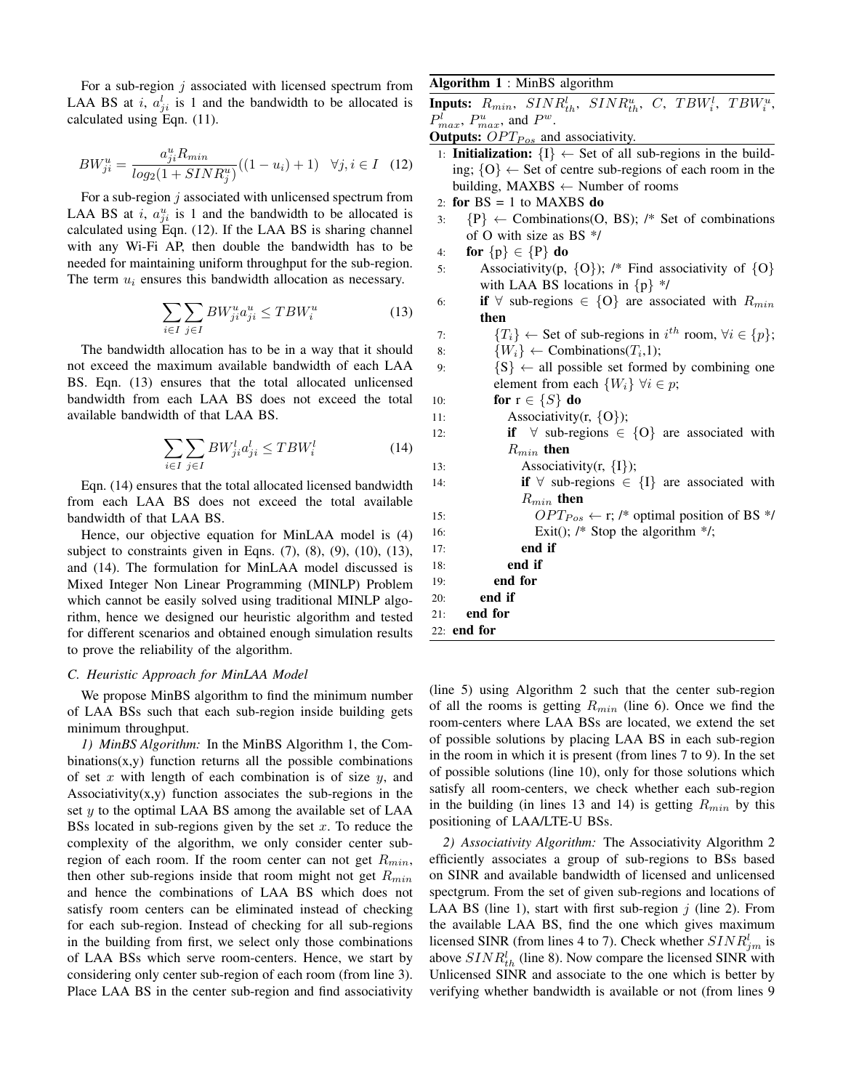For a sub-region  $j$  associated with licensed spectrum from LAA BS at *i*,  $a_{ji}^l$  is 1 and the bandwidth to be allocated is calculated using Eqn. (11).

$$
BW_{ji}^{u} = \frac{a_{ji}^{u} R_{min}}{\log_2(1 + SINR_j^u)}((1 - u_i) + 1) \quad \forall j, i \in I \quad (12)
$$

For a sub-region  $j$  associated with unlicensed spectrum from LAA BS at *i*,  $a_{ji}^u$  is 1 and the bandwidth to be allocated is calculated using Eqn. (12). If the LAA BS is sharing channel with any Wi-Fi AP, then double the bandwidth has to be needed for maintaining uniform throughput for the sub-region. The term  $u_i$  ensures this bandwidth allocation as necessary.

$$
\sum_{i \in I} \sum_{j \in I} BW_{ji}^u a_{ji}^u \le TBW_i^u \tag{13}
$$

The bandwidth allocation has to be in a way that it should not exceed the maximum available bandwidth of each LAA BS. Eqn. (13) ensures that the total allocated unlicensed bandwidth from each LAA BS does not exceed the total available bandwidth of that LAA BS.

$$
\sum_{i \in I} \sum_{j \in I} BW_{ji}^{l} a_{ji}^{l} \le TBW_{i}^{l}
$$
\n(14)

Eqn. (14) ensures that the total allocated licensed bandwidth from each LAA BS does not exceed the total available bandwidth of that LAA BS.

Hence, our objective equation for MinLAA model is (4) subject to constraints given in Eqns.  $(7)$ ,  $(8)$ ,  $(9)$ ,  $(10)$ ,  $(13)$ , and (14). The formulation for MinLAA model discussed is Mixed Integer Non Linear Programming (MINLP) Problem which cannot be easily solved using traditional MINLP algorithm, hence we designed our heuristic algorithm and tested for different scenarios and obtained enough simulation results to prove the reliability of the algorithm.

### *C. Heuristic Approach for MinLAA Model*

We propose MinBS algorithm to find the minimum number of LAA BSs such that each sub-region inside building gets minimum throughput.

*1) MinBS Algorithm:* In the MinBS Algorithm 1, the Combinations $(x,y)$  function returns all the possible combinations of set x with length of each combination is of size  $y$ , and Associativity $(x, y)$  function associates the sub-regions in the set  $y$  to the optimal LAA BS among the available set of LAA BSs located in sub-regions given by the set x. To reduce the complexity of the algorithm, we only consider center subregion of each room. If the room center can not get  $R_{min}$ , then other sub-regions inside that room might not get  $R_{min}$ and hence the combinations of LAA BS which does not satisfy room centers can be eliminated instead of checking for each sub-region. Instead of checking for all sub-regions in the building from first, we select only those combinations of LAA BSs which serve room-centers. Hence, we start by considering only center sub-region of each room (from line 3). Place LAA BS in the center sub-region and find associativity

# Algorithm 1 : MinBS algorithm

**Inputs:**  $R_{min}$ ,  $SINR_{th}^l$ ,  $SINR_{th}^u$ ,  $C$ ,  $TBW_i^l$ ,  $TBW_i^u$ ,  $P_{max}^l$ ,  $P_{max}^u$ , and  $P^w$ .

Outputs:  $OPT_{Pos}$  and associativity.

- 1: **Initialization:**  $\{I\} \leftarrow$  Set of all sub-regions in the building;  ${O} \leftarrow$  Set of centre sub-regions of each room in the building,  $MAXBS \leftarrow Number of rooms$
- 2: for  $BS = 1$  to MAXBS do
- 3:  $\{P\} \leftarrow$  Combinations(O, BS); /\* Set of combinations of O with size as BS \*/
- 4: for  $\{p\} \in \{P\}$  do
- 5: Associativity(p,  $\{O\}$ ); /\* Find associativity of  $\{O\}$ with LAA BS locations in  $\{p\}$  \*/
- 6: if  $\forall$  sub-regions  $\in \{O\}$  are associated with  $R_{min}$ then

7: 
$$
\{T_i\} \leftarrow
$$
 Set of sub-regions in  $i^{th}$  room,  $\forall i \in \{p\};$ 

8:  $\{W_i\} \leftarrow \text{Combinations}(T_i, 1);$ 

- 9:  $\{S\} \leftarrow \text{all possible set formed by combining one}$ element from each  $\{W_i\}$   $\forall i \in p$ ;
- 10: **for**  $r \in \{S\}$  **do** 11: Associativity(r,  $\{O\}$ ); 12: **if**  $\forall$  sub-regions  $\in \{O\}$  are associated with  $R_{min}$  then 13: Associativity(r,  ${I}$ ); 14: **if**  $\forall$  sub-regions  $\in \{I\}$  are associated with  $R_{min}$  then 15:  $OPT_{Pos} \leftarrow r$ ; /\* optimal position of BS \*/ 16: Exit(); /\* Stop the algorithm \*/; 17: end if 18: end if 19: end for 20: end if 21: end for 22: end for

(line 5) using Algorithm 2 such that the center sub-region of all the rooms is getting  $R_{min}$  (line 6). Once we find the room-centers where LAA BSs are located, we extend the set of possible solutions by placing LAA BS in each sub-region in the room in which it is present (from lines 7 to 9). In the set of possible solutions (line 10), only for those solutions which satisfy all room-centers, we check whether each sub-region in the building (in lines 13 and 14) is getting  $R_{min}$  by this positioning of LAA/LTE-U BSs.

*2) Associativity Algorithm:* The Associativity Algorithm 2 efficiently associates a group of sub-regions to BSs based on SINR and available bandwidth of licensed and unlicensed spectgrum. From the set of given sub-regions and locations of LAA BS (line 1), start with first sub-region  $j$  (line 2). From the available LAA BS, find the one which gives maximum licensed SINR (from lines 4 to 7). Check whether  $SINR_{jm}^l$  is above  $SINR_{th}^l$  (line 8). Now compare the licensed SINR with Unlicensed SINR and associate to the one which is better by verifying whether bandwidth is available or not (from lines 9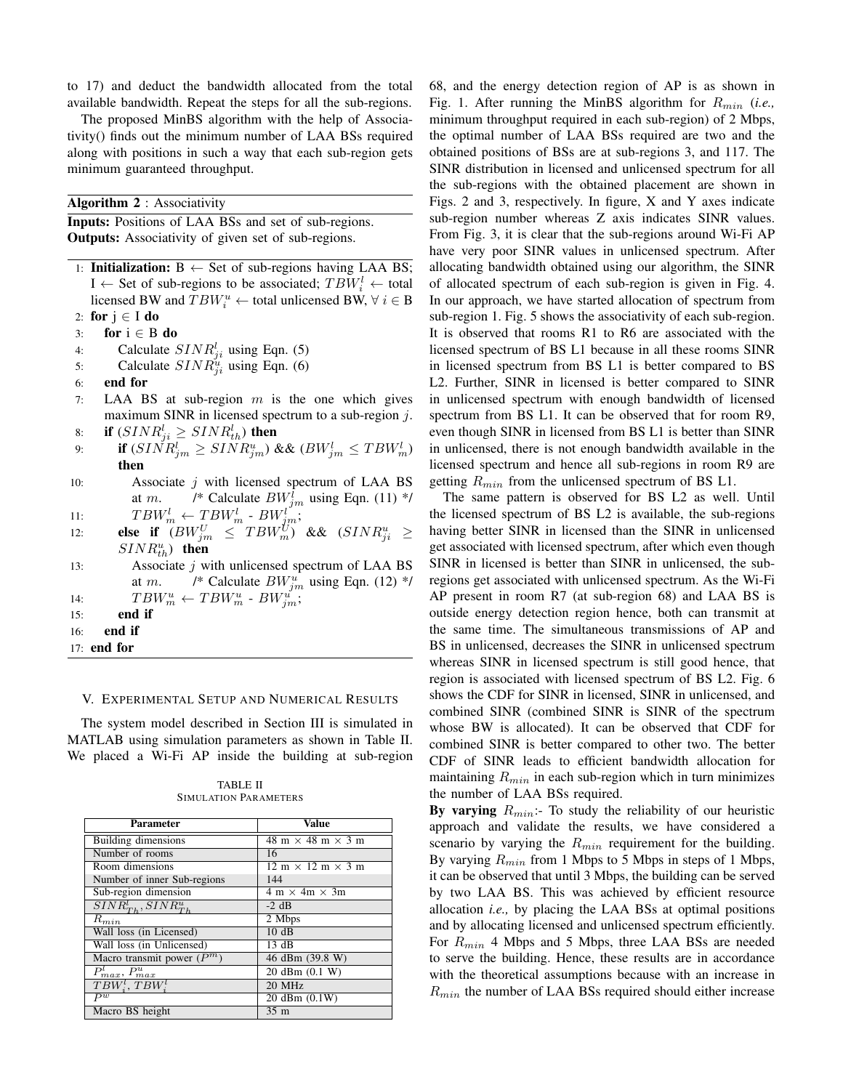to 17) and deduct the bandwidth allocated from the total available bandwidth. Repeat the steps for all the sub-regions.

The proposed MinBS algorithm with the help of Associativity() finds out the minimum number of LAA BSs required along with positions in such a way that each sub-region gets minimum guaranteed throughput.

Algorithm 2 : Associativity

Inputs: Positions of LAA BSs and set of sub-regions. **Outputs:** Associativity of given set of sub-regions.

- 1: **Initialization:**  $B \leftarrow$  Set of sub-regions having LAA BS;  $I \leftarrow$  Set of sub-regions to be associated;  $TBW_i^l \leftarrow$  total licensed BW and  $TBW_i^u \leftarrow$  total unlicensed BW,  $\forall i \in B$ 2: for  $j \in I$  do
- 3: for  $i \in B$  do
- 
- 4: Calculate  $SINR_{ji}^l$  using Eqn. (5)
- 5: Calculate  $SINR_{ji}^u$  using Eqn. (6)
- 6: end for
- 7: LAA BS at sub-region  $m$  is the one which gives maximum SINR in licensed spectrum to a sub-region j.
- 8: if  $(SINR_{ji}^l \geq SINR_{th}^l)$  then
- 9: **if**  $(SINR_{jm}^l \geq SINR_{jm}^u)$  &&  $(BW_{jm}^l \leq TBW_m^l)$ then
- 10: Associate  $j$  with licensed spectrum of LAA BS at *m*. /\* Calculate  $BW_{jm}^l$  using Eqn. (11) \*/
- 11:  $TBW_m^l \leftarrow TBW_m^l \cdot BW_{jm}^l;$
- 12: **else if**  $(BW_{jm}^U \leq TBW_m^U)$  &&  $(SINR_{ji}^u \geq$  $SINR_{th}^{u}$ ) then
- 13: Associate  $j$  with unlicensed spectrum of LAA BS at *m*. /\* Calculate  $BW_{jm}^u$  using Eqn. (12) \*/ 14:  $TBW_m^u \leftarrow TBW_m^u \cdot BW_{jm}^u;$
- 15: end if
- 16: end if
- 17: end for

#### V. EXPERIMENTAL SETUP AND NUMERICAL RESULTS

The system model described in Section III is simulated in MATLAB using simulation parameters as shown in Table II. We placed a Wi-Fi AP inside the building at sub-region

| <b>Parameter</b>            | Value                                                 |  |
|-----------------------------|-------------------------------------------------------|--|
| Building dimensions         | 48 m $\times$ 48 m $\times$ 3 m                       |  |
| Number of rooms             | 16                                                    |  |
| Room dimensions             | $12 \text{ m} \times 12 \text{ m} \times 3 \text{ m}$ |  |
| Number of inner Sub-regions | 144                                                   |  |
| Sub-region dimension        | $4 \text{ m} \times 4\text{ m} \times 3\text{ m}$     |  |
| $SINR_{Th}^l, SINR_{Th}^u$  | $-2$ dB                                               |  |
| $R_{min}$                   | 2 Mbps                                                |  |
| Wall loss (in Licensed)     | 10dB                                                  |  |
| Wall loss (in Unlicensed)   | 13 dB                                                 |  |
| Macro transmit power $(Pm)$ | 46 dBm (39.8 W)                                       |  |
| $P_{max}^l$ , $P_{max}^u$   | 20 dBm (0.1 W)                                        |  |
| $TBW_i^l$ , $TBW_i^l$       | 20 MHz                                                |  |
| $\overline{P^w}$            | 20 dBm (0.1W)                                         |  |
| Macro BS height             | 35 <sub>m</sub>                                       |  |

TABLE II SIMULATION PARAMETERS

68, and the energy detection region of AP is as shown in Fig. 1. After running the MinBS algorithm for  $R_{min}$  (*i.e.*, minimum throughput required in each sub-region) of 2 Mbps, the optimal number of LAA BSs required are two and the obtained positions of BSs are at sub-regions 3, and 117. The SINR distribution in licensed and unlicensed spectrum for all the sub-regions with the obtained placement are shown in Figs. 2 and 3, respectively. In figure, X and Y axes indicate sub-region number whereas Z axis indicates SINR values. From Fig. 3, it is clear that the sub-regions around Wi-Fi AP have very poor SINR values in unlicensed spectrum. After allocating bandwidth obtained using our algorithm, the SINR of allocated spectrum of each sub-region is given in Fig. 4. In our approach, we have started allocation of spectrum from sub-region 1. Fig. 5 shows the associativity of each sub-region. It is observed that rooms R1 to R6 are associated with the licensed spectrum of BS L1 because in all these rooms SINR in licensed spectrum from BS L1 is better compared to BS L2. Further, SINR in licensed is better compared to SINR in unlicensed spectrum with enough bandwidth of licensed spectrum from BS L1. It can be observed that for room R9, even though SINR in licensed from BS L1 is better than SINR in unlicensed, there is not enough bandwidth available in the licensed spectrum and hence all sub-regions in room R9 are getting  $R_{min}$  from the unlicensed spectrum of BS L1.

The same pattern is observed for BS L2 as well. Until the licensed spectrum of BS L2 is available, the sub-regions having better SINR in licensed than the SINR in unlicensed get associated with licensed spectrum, after which even though SINR in licensed is better than SINR in unlicensed, the subregions get associated with unlicensed spectrum. As the Wi-Fi AP present in room R7 (at sub-region 68) and LAA BS is outside energy detection region hence, both can transmit at the same time. The simultaneous transmissions of AP and BS in unlicensed, decreases the SINR in unlicensed spectrum whereas SINR in licensed spectrum is still good hence, that region is associated with licensed spectrum of BS L2. Fig. 6 shows the CDF for SINR in licensed, SINR in unlicensed, and combined SINR (combined SINR is SINR of the spectrum whose BW is allocated). It can be observed that CDF for combined SINR is better compared to other two. The better CDF of SINR leads to efficient bandwidth allocation for maintaining  $R_{min}$  in each sub-region which in turn minimizes the number of LAA BSs required.

By varying  $R_{min}$ : To study the reliability of our heuristic approach and validate the results, we have considered a scenario by varying the  $R_{min}$  requirement for the building. By varying  $R_{min}$  from 1 Mbps to 5 Mbps in steps of 1 Mbps, it can be observed that until 3 Mbps, the building can be served by two LAA BS. This was achieved by efficient resource allocation *i.e.,* by placing the LAA BSs at optimal positions and by allocating licensed and unlicensed spectrum efficiently. For  $R_{min}$  4 Mbps and 5 Mbps, three LAA BSs are needed to serve the building. Hence, these results are in accordance with the theoretical assumptions because with an increase in  $R_{min}$  the number of LAA BSs required should either increase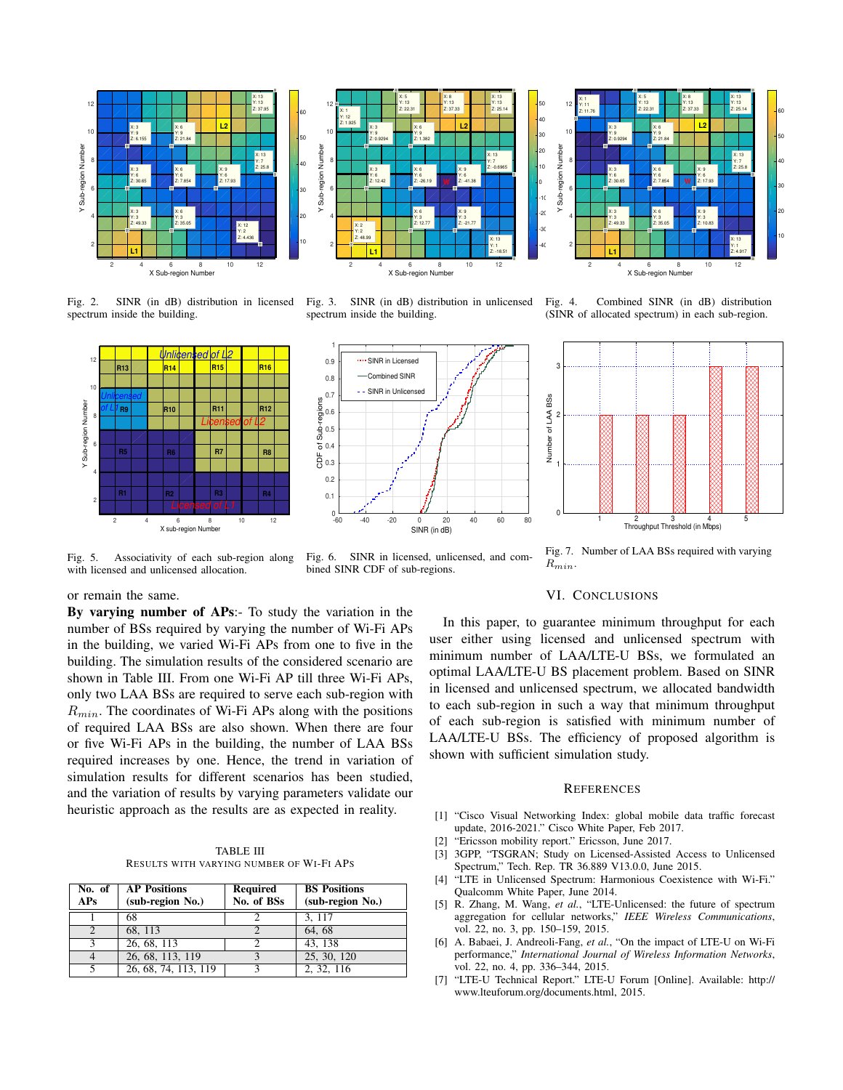



40 **L2** X: 3 X: 6  $10$ Y: 9 Y: 9 30 Z: 0.9294 Z: 21.84 20 / Sub-region Number Y Sub-region Number X: 13 10 8 H Y: 7  $Z: 25.8$ X: 3 X: 6 X: 9 Y: 6 Y: 6 Y: 6 **W** 2:1 Z: 30.65 | Z: 7.854 Z: 17.93 0 6 H -10  $-20$ X: 3 X: 6 X: 9 4 Y: 3 Y: 3 Y: 3 -3 Z: 49.33 Z: 35.05 Z: 10.83 X: 13 -40 2 H Y: 1 **L1** Z: 4.917 2 4 6 8 10 12 X Sub-region Number

X: 5 Y: 13 Z: 22.31

50

12

X: 1 Y: 11 Z: 11.76

Fig. 2. SINR (in dB) distribution in licensed spectrum inside the building.



Fig. 3. SINR (in dB) distribution in unlicensed spectrum inside the building.



Fig. 4. Combined SINR (in dB) distribution (SINR of allocated spectrum) in each sub-region.

X: 13 Y: 13 Z: 25.14

X: 8 Y: 13 Z: 37.33



Fig. 5. Associativity of each sub-region along with licensed and unlicensed allocation.

Fig. 6. SINR in licensed, unlicensed, and combined SINR CDF of sub-regions.

Fig. 7. Number of LAA BSs required with varying  $R_{min}$ .

# or remain the same.

By varying number of APs:- To study the variation in the number of BSs required by varying the number of Wi-Fi APs in the building, we varied Wi-Fi APs from one to five in the building. The simulation results of the considered scenario are shown in Table III. From one Wi-Fi AP till three Wi-Fi APs, only two LAA BSs are required to serve each sub-region with  $R_{min}$ . The coordinates of Wi-Fi APs along with the positions of required LAA BSs are also shown. When there are four or five Wi-Fi APs in the building, the number of LAA BSs required increases by one. Hence, the trend in variation of simulation results for different scenarios has been studied, and the variation of results by varying parameters validate our heuristic approach as the results are as expected in reality.

TABLE III RESULTS WITH VARYING NUMBER OF WI-FI APS

| No. of<br>APs | <b>AP Positions</b><br>(sub-region No.) | <b>Required</b><br>No. of BSs | <b>BS</b> Positions<br>(sub-region No.) |
|---------------|-----------------------------------------|-------------------------------|-----------------------------------------|
|               | 68                                      |                               | 3, 117                                  |
|               | 68.113                                  |                               | 64.68                                   |
| $\mathbf{a}$  | 26, 68, 113                             |                               | $43, \overline{138}$                    |
|               | 26, 68, 113, 119                        | $\mathbf{a}$                  | 25, 30, 120                             |
|               | 26, 68, 74, 113, 119                    |                               | 2, 32, 116                              |

# VI. CONCLUSIONS

In this paper, to guarantee minimum throughput for each user either using licensed and unlicensed spectrum with minimum number of LAA/LTE-U BSs, we formulated an optimal LAA/LTE-U BS placement problem. Based on SINR in licensed and unlicensed spectrum, we allocated bandwidth to each sub-region in such a way that minimum throughput of each sub-region is satisfied with minimum number of LAA/LTE-U BSs. The efficiency of proposed algorithm is shown with sufficient simulation study.

## **REFERENCES**

- [1] "Cisco Visual Networking Index: global mobile data traffic forecast update, 2016-2021." Cisco White Paper, Feb 2017.
- [2] "Ericsson mobility report." Ericsson, June 2017.
- [3] 3GPP, "TSGRAN; Study on Licensed-Assisted Access to Unlicensed Spectrum," Tech. Rep. TR 36.889 V13.0.0, June 2015.
- [4] "LTE in Unlicensed Spectrum: Harmonious Coexistence with Wi-Fi." Qualcomm White Paper, June 2014.
- [5] R. Zhang, M. Wang, *et al.*, "LTE-Unlicensed: the future of spectrum aggregation for cellular networks," *IEEE Wireless Communications*, vol. 22, no. 3, pp. 150–159, 2015.
- [6] A. Babaei, J. Andreoli-Fang, *et al.*, "On the impact of LTE-U on Wi-Fi performance," *International Journal of Wireless Information Networks*, vol. 22, no. 4, pp. 336–344, 2015.
- [7] "LTE-U Technical Report." LTE-U Forum [Online]. Available: http:// www.lteuforum.org/documents.html, 2015.